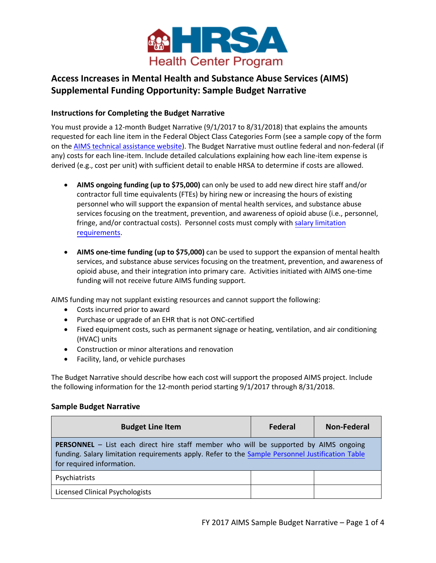

# **Access Increases in Mental Health and Substance Abuse Services (AIMS) Supplemental Funding Opportunity: Sample Budget Narrative**

### **Instructions for Completing the Budget Narrative**

You must provide a 12-month Budget Narrative (9/1/2017 to 8/31/2018) that explains the amounts requested for each line item in the Federal Object Class Categories Form (see a sample copy of the form on th[e AIMS technical assistance website\)](https://bphc.hrsa.gov/programopportunities/fundingopportunities/supplement). The Budget Narrative must outline federal and non-federal (if any) costs for each line-item. Include detailed calculations explaining how each line-item expense is derived (e.g., cost per unit) with sufficient detail to enable HRSA to determine if costs are allowed.

- **AIMS ongoing funding (up to \$75,000)** can only be used to add new direct hire staff and/or contractor full time equivalents (FTEs) by hiring new or increasing the hours of existing personnel who will support the expansion of mental health services, and substance abuse services focusing on the treatment, prevention, and awareness of opioid abuse (i.e., personnel, fringe, and/or contractual costs). Personnel costs must comply with [salary limitation](#page-3-0) [requirements.](#page-3-0)
- **AIMS one-time funding (up to \$75,000)** can be used to support the expansion of mental health services, and substance abuse services focusing on the treatment, prevention, and awareness of opioid abuse, and their integration into primary care. Activities initiated with AIMS one-time funding will not receive future AIMS funding support.

AIMS funding may not supplant existing resources and cannot support the following:

- Costs incurred prior to award
- Purchase or upgrade of an EHR that is not ONC-certified
- Fixed equipment costs, such as permanent signage or heating, ventilation, and air conditioning (HVAC) units
- Construction or minor alterations and renovation
- Facility, land, or vehicle purchases

The Budget Narrative should describe how each cost will support the proposed AIMS project. Include the following information for the 12-month period starting 9/1/2017 through 8/31/2018.

#### **Sample Budget Narrative**

| <b>Budget Line Item</b>                                                                                                                                                                                                      | <b>Federal</b> | Non-Federal |  |
|------------------------------------------------------------------------------------------------------------------------------------------------------------------------------------------------------------------------------|----------------|-------------|--|
| <b>PERSONNEL</b> – List each direct hire staff member who will be supported by AIMS ongoing<br>funding. Salary limitation requirements apply. Refer to the Sample Personnel Justification Table<br>for required information. |                |             |  |
| Psychiatrists                                                                                                                                                                                                                |                |             |  |
| Licensed Clinical Psychologists                                                                                                                                                                                              |                |             |  |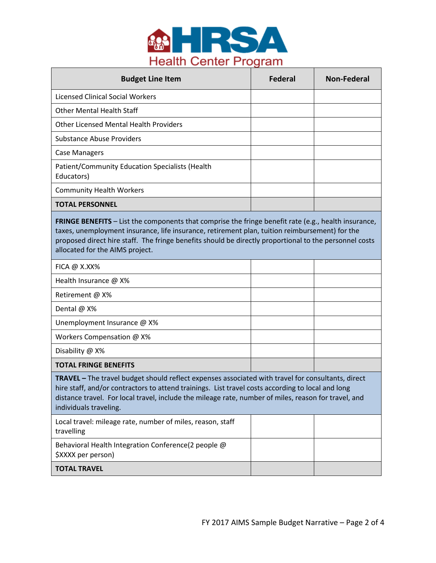

| <b>Budget Line Item</b>                                       | <b>Federal</b> | Non-Federal |  |
|---------------------------------------------------------------|----------------|-------------|--|
| Licensed Clinical Social Workers                              |                |             |  |
| <b>Other Mental Health Staff</b>                              |                |             |  |
| <b>Other Licensed Mental Health Providers</b>                 |                |             |  |
| Substance Abuse Providers                                     |                |             |  |
| <b>Case Managers</b>                                          |                |             |  |
| Patient/Community Education Specialists (Health<br>Educators) |                |             |  |
| <b>Community Health Workers</b>                               |                |             |  |
| <b>TOTAL PERSONNEL</b>                                        |                |             |  |

**FRINGE BENEFITS** – List the components that comprise the fringe benefit rate (e.g., health insurance, taxes, unemployment insurance, life insurance, retirement plan, tuition reimbursement) for the proposed direct hire staff. The fringe benefits should be directly proportional to the personnel costs allocated for the AIMS project.

| <b>TOTAL FRINGE BENEFITS</b> |  |
|------------------------------|--|
| Disability @ X%              |  |
| Workers Compensation @ X%    |  |
| Unemployment Insurance @ X%  |  |
| Dental @ X%                  |  |
| Retirement @ X%              |  |
| Health Insurance @ X%        |  |
| $FICA @ X.XX\%$              |  |
|                              |  |

**TRAVEL –** The travel budget should reflect expenses associated with travel for consultants, direct hire staff, and/or contractors to attend trainings. List travel costs according to local and long distance travel. For local travel, include the mileage rate, number of miles, reason for travel, and individuals traveling.

| <b>TOTAL TRAVEL</b>                                                       |  |
|---------------------------------------------------------------------------|--|
| Behavioral Health Integration Conference(2 people @<br>\$XXXX per person) |  |
| Local travel: mileage rate, number of miles, reason, staff<br>travelling  |  |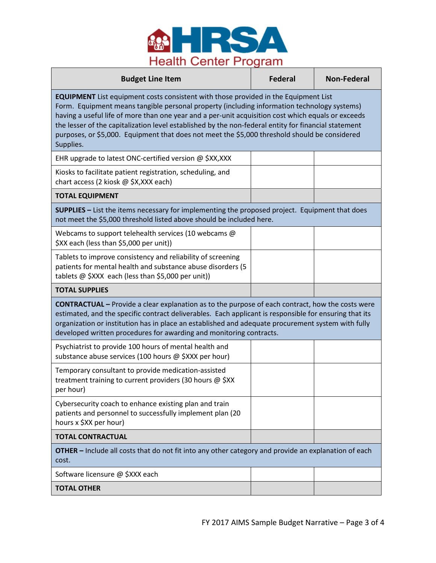

| <b>Budget Line Item</b>                                                                                                                                                                                                                                                                                                                                                                                                                                                                                               | <b>Federal</b> | <b>Non-Federal</b> |  |
|-----------------------------------------------------------------------------------------------------------------------------------------------------------------------------------------------------------------------------------------------------------------------------------------------------------------------------------------------------------------------------------------------------------------------------------------------------------------------------------------------------------------------|----------------|--------------------|--|
| <b>EQUIPMENT</b> List equipment costs consistent with those provided in the Equipment List<br>Form. Equipment means tangible personal property (including information technology systems)<br>having a useful life of more than one year and a per-unit acquisition cost which equals or exceeds<br>the lesser of the capitalization level established by the non-federal entity for financial statement<br>purposes, or \$5,000. Equipment that does not meet the \$5,000 threshold should be considered<br>Supplies. |                |                    |  |
| EHR upgrade to latest ONC-certified version @ \$XX, XXX                                                                                                                                                                                                                                                                                                                                                                                                                                                               |                |                    |  |
| Kiosks to facilitate patient registration, scheduling, and<br>chart access (2 kiosk @ \$X, XXX each)                                                                                                                                                                                                                                                                                                                                                                                                                  |                |                    |  |
| <b>TOTAL EQUIPMENT</b>                                                                                                                                                                                                                                                                                                                                                                                                                                                                                                |                |                    |  |
| <b>SUPPLIES</b> - List the items necessary for implementing the proposed project. Equipment that does<br>not meet the \$5,000 threshold listed above should be included here.                                                                                                                                                                                                                                                                                                                                         |                |                    |  |
| Webcams to support telehealth services (10 webcams @<br>\$XX each (less than \$5,000 per unit))                                                                                                                                                                                                                                                                                                                                                                                                                       |                |                    |  |
| Tablets to improve consistency and reliability of screening<br>patients for mental health and substance abuse disorders (5<br>tablets @ \$XXX each (less than \$5,000 per unit))                                                                                                                                                                                                                                                                                                                                      |                |                    |  |
| <b>TOTAL SUPPLIES</b>                                                                                                                                                                                                                                                                                                                                                                                                                                                                                                 |                |                    |  |
| <b>CONTRACTUAL</b> - Provide a clear explanation as to the purpose of each contract, how the costs were<br>estimated, and the specific contract deliverables. Each applicant is responsible for ensuring that its<br>organization or institution has in place an established and adequate procurement system with fully<br>developed written procedures for awarding and monitoring contracts.                                                                                                                        |                |                    |  |
| Psychiatrist to provide 100 hours of mental health and<br>substance abuse services (100 hours @ \$XXX per hour)                                                                                                                                                                                                                                                                                                                                                                                                       |                |                    |  |
| Temporary consultant to provide medication-assisted<br>treatment training to current providers (30 hours @ \$XX<br>per hour)                                                                                                                                                                                                                                                                                                                                                                                          |                |                    |  |
| Cybersecurity coach to enhance existing plan and train<br>patients and personnel to successfully implement plan (20<br>hours x \$XX per hour)                                                                                                                                                                                                                                                                                                                                                                         |                |                    |  |
| <b>TOTAL CONTRACTUAL</b>                                                                                                                                                                                                                                                                                                                                                                                                                                                                                              |                |                    |  |
| <b>OTHER</b> - Include all costs that do not fit into any other category and provide an explanation of each<br>cost.                                                                                                                                                                                                                                                                                                                                                                                                  |                |                    |  |
| Software licensure @ \$XXX each                                                                                                                                                                                                                                                                                                                                                                                                                                                                                       |                |                    |  |
| <b>TOTAL OTHER</b>                                                                                                                                                                                                                                                                                                                                                                                                                                                                                                    |                |                    |  |